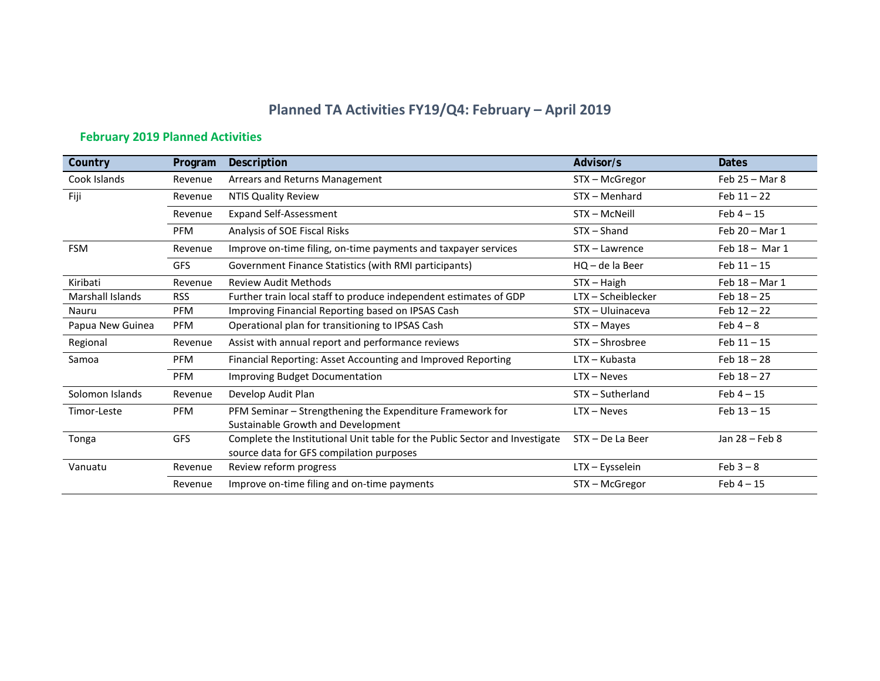# **Planned TA Activities FY19/Q4: February – April 2019**

## **February 2019 Planned Activities**

| Country                 | Program    | <b>Description</b>                                                          | Advisor/s          | <b>Dates</b>     |
|-------------------------|------------|-----------------------------------------------------------------------------|--------------------|------------------|
| Cook Islands            | Revenue    | Arrears and Returns Management                                              | STX - McGregor     | Feb $25 -$ Mar 8 |
| Fiji                    | Revenue    | <b>NTIS Quality Review</b>                                                  | STX - Menhard      | Feb $11 - 22$    |
|                         | Revenue    | <b>Expand Self-Assessment</b>                                               | STX - McNeill      | $Feb 4 - 15$     |
|                         | <b>PFM</b> | Analysis of SOE Fiscal Risks                                                | STX - Shand        | Feb 20 - Mar 1   |
| <b>FSM</b>              | Revenue    | Improve on-time filing, on-time payments and taxpayer services              | STX - Lawrence     | Feb 18 - Mar 1   |
|                         | <b>GFS</b> | Government Finance Statistics (with RMI participants)                       | $HQ - de la Beer$  | $Feb 11 - 15$    |
| Kiribati                | Revenue    | <b>Review Audit Methods</b>                                                 | $STX - Haigh$      | Feb 18 - Mar 1   |
| <b>Marshall Islands</b> | <b>RSS</b> | Further train local staff to produce independent estimates of GDP           | LTX - Scheiblecker | $Feb 18 - 25$    |
| Nauru                   | <b>PFM</b> | Improving Financial Reporting based on IPSAS Cash                           | STX - Uluinaceva   | Feb $12 - 22$    |
| Papua New Guinea        | <b>PFM</b> | Operational plan for transitioning to IPSAS Cash                            | STX – Mayes        | Feb $4-8$        |
| Regional                | Revenue    | Assist with annual report and performance reviews                           | STX - Shrosbree    | $Feb 11 - 15$    |
| Samoa                   | <b>PFM</b> | Financial Reporting: Asset Accounting and Improved Reporting                | LTX - Kubasta      | $Feb 18 - 28$    |
|                         | <b>PFM</b> | <b>Improving Budget Documentation</b>                                       | $LTX - Neves$      | Feb $18 - 27$    |
| Solomon Islands         | Revenue    | Develop Audit Plan                                                          | STX - Sutherland   | Feb $4 - 15$     |
| Timor-Leste             | <b>PFM</b> | PFM Seminar - Strengthening the Expenditure Framework for                   | $LTX - Neves$      | $Feb 13 - 15$    |
|                         |            | Sustainable Growth and Development                                          |                    |                  |
| Tonga                   | <b>GFS</b> | Complete the Institutional Unit table for the Public Sector and Investigate | STX - De La Beer   | Jan 28 - Feb 8   |
|                         |            | source data for GFS compilation purposes                                    |                    |                  |
| Vanuatu                 | Revenue    | Review reform progress                                                      | LTX - Eysselein    | $Feb 3 - 8$      |
|                         | Revenue    | Improve on-time filing and on-time payments                                 | STX - McGregor     | Feb $4 - 15$     |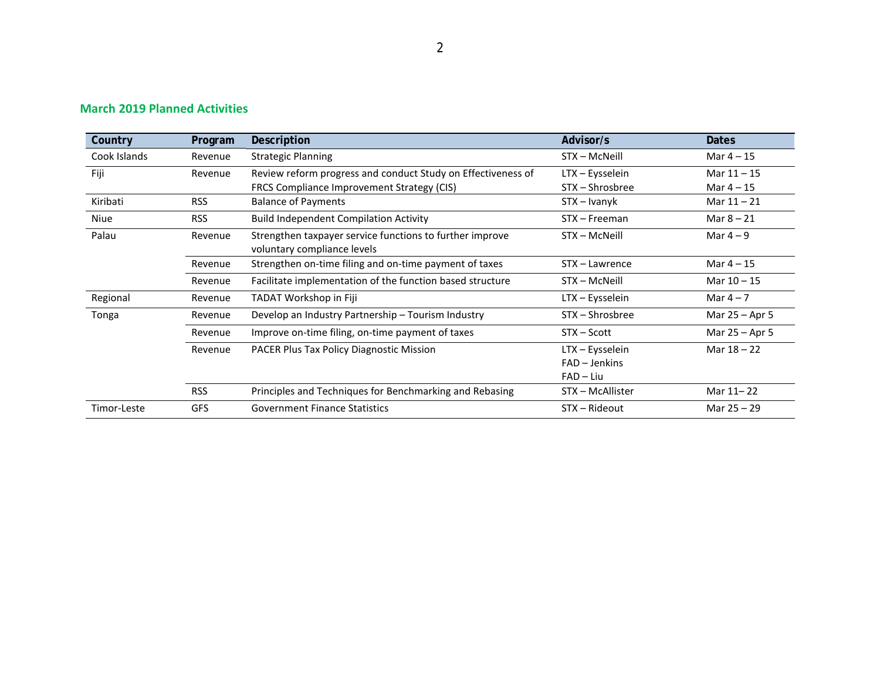| Country      | Program    | Description                                                                             | Advisor/s        | <b>Dates</b>     |
|--------------|------------|-----------------------------------------------------------------------------------------|------------------|------------------|
| Cook Islands | Revenue    | <b>Strategic Planning</b>                                                               | STX - McNeill    | Mar $4 - 15$     |
| Fiji         | Revenue    | Review reform progress and conduct Study on Effectiveness of                            | LTX - Eysselein  | Mar $11 - 15$    |
|              |            | FRCS Compliance Improvement Strategy (CIS)                                              | STX - Shrosbree  | Mar $4 - 15$     |
| Kiribati     | <b>RSS</b> | <b>Balance of Payments</b>                                                              | STX – Ivanyk     | Mar $11 - 21$    |
| Niue         | <b>RSS</b> | <b>Build Independent Compilation Activity</b>                                           | STX - Freeman    | Mar $8 - 21$     |
| Palau        | Revenue    | Strengthen taxpayer service functions to further improve<br>voluntary compliance levels | STX - McNeill    | Mar $4-9$        |
|              | Revenue    | Strengthen on-time filing and on-time payment of taxes                                  | STX - Lawrence   | Mar $4 - 15$     |
|              | Revenue    | Facilitate implementation of the function based structure                               | STX - McNeill    | Mar $10 - 15$    |
| Regional     | Revenue    | TADAT Workshop in Fiji                                                                  | LTX - Eysselein  | Mar $4-7$        |
| Tonga        | Revenue    | Develop an Industry Partnership - Tourism Industry                                      | STX - Shrosbree  | Mar 25 – Apr 5   |
|              | Revenue    | Improve on-time filing, on-time payment of taxes                                        | STX – Scott      | Mar $25 -$ Apr 5 |
|              | Revenue    | PACER Plus Tax Policy Diagnostic Mission                                                | LTX - Eysselein  | Mar $18 - 22$    |
|              |            |                                                                                         | FAD - Jenkins    |                  |
|              |            |                                                                                         | $FAD - Liu$      |                  |
|              | <b>RSS</b> | Principles and Techniques for Benchmarking and Rebasing                                 | STX - McAllister | Mar 11-22        |
| Timor-Leste  | <b>GFS</b> | <b>Government Finance Statistics</b>                                                    | STX - Rideout    | Mar 25 - 29      |

### **March 2019 Planned Activities**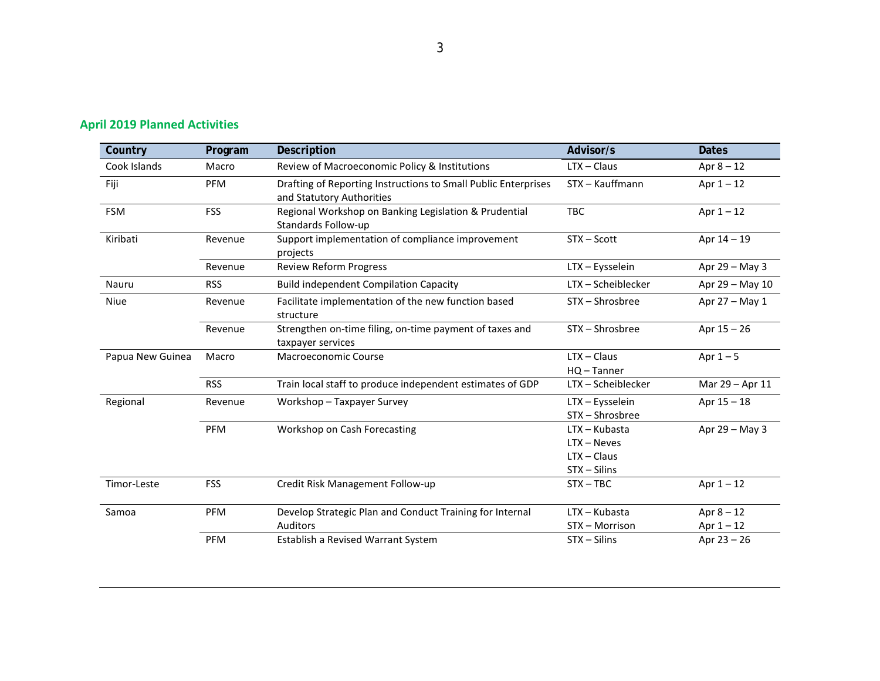| Country          | Program    | Description                                                                                 | Advisor/s                                                         | <b>Dates</b>                 |
|------------------|------------|---------------------------------------------------------------------------------------------|-------------------------------------------------------------------|------------------------------|
| Cook Islands     | Macro      | Review of Macroeconomic Policy & Institutions                                               | $LTX - Claus$                                                     | Apr $8 - 12$                 |
| Fiji             | PFM        | Drafting of Reporting Instructions to Small Public Enterprises<br>and Statutory Authorities | STX - Kauffmann                                                   | Apr $1 - 12$                 |
| <b>FSM</b>       | <b>FSS</b> | Regional Workshop on Banking Legislation & Prudential<br>Standards Follow-up                | <b>TBC</b>                                                        | Apr $1 - 12$                 |
| Kiribati         | Revenue    | Support implementation of compliance improvement<br>projects                                | STX - Scott                                                       | Apr 14 - 19                  |
|                  | Revenue    | <b>Review Reform Progress</b>                                                               | LTX - Eysselein                                                   | Apr 29 - May 3               |
| Nauru            | <b>RSS</b> | <b>Build independent Compilation Capacity</b>                                               | LTX-Scheiblecker                                                  | Apr 29 - May 10              |
| <b>Niue</b>      | Revenue    | Facilitate implementation of the new function based<br>structure                            | STX - Shrosbree                                                   | Apr 27 - May 1               |
|                  | Revenue    | Strengthen on-time filing, on-time payment of taxes and<br>taxpayer services                | STX - Shrosbree                                                   | Apr $15 - 26$                |
| Papua New Guinea | Macro      | <b>Macroeconomic Course</b>                                                                 | $LTX - Claus$<br>$HO - Tanner$                                    | Apr $1-5$                    |
|                  | <b>RSS</b> | Train local staff to produce independent estimates of GDP                                   | LTX-Scheiblecker                                                  | Mar 29 - Apr 11              |
| Regional         | Revenue    | Workshop - Taxpayer Survey                                                                  | LTX - Eysselein<br>STX - Shrosbree                                | Apr $15 - 18$                |
|                  | <b>PFM</b> | Workshop on Cash Forecasting                                                                | $LTX - Kubasta$<br>$LTX - Neves$<br>$LTX - Claus$<br>STX - Silins | Apr 29 - May 3               |
| Timor-Leste      | <b>FSS</b> | Credit Risk Management Follow-up                                                            | $STX - TBC$                                                       | Apr $1 - 12$                 |
| Samoa            | <b>PFM</b> | Develop Strategic Plan and Conduct Training for Internal<br>Auditors                        | $LTX - Kubasta$<br>STX - Morrison                                 | Apr $8 - 12$<br>Apr $1 - 12$ |
|                  | <b>PFM</b> | Establish a Revised Warrant System                                                          | $STX - Silins$                                                    | Apr $23 - 26$                |

## **April 2019 Planned Activities**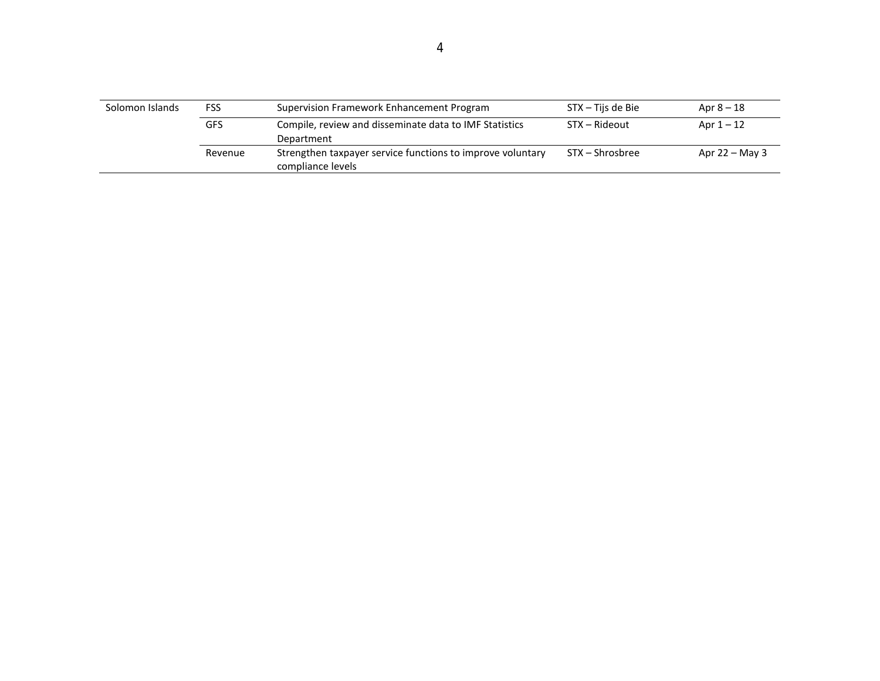| Solomon Islands | <b>FSS</b> | Supervision Framework Enhancement Program                                       | STX – Tijs de Bie | Apr $8 - 18$     |
|-----------------|------------|---------------------------------------------------------------------------------|-------------------|------------------|
|                 | <b>GFS</b> | Compile, review and disseminate data to IMF Statistics<br>Department            | STX – Rideout     | Apr $1-12$       |
|                 | Revenue    | Strengthen taxpayer service functions to improve voluntary<br>compliance levels | STX – Shrosbree   | Apr $22 -$ May 3 |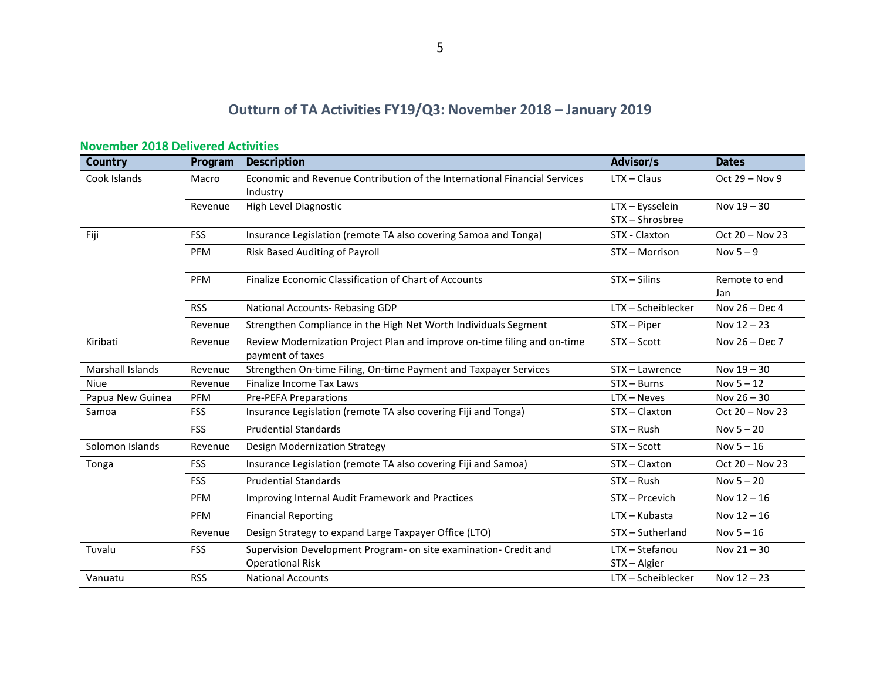# **Outturn of TA Activities FY19/Q3: November 2018 – January 2019**

| Country                 | Program    | Description                                                                                  | Advisor/s                      | <b>Dates</b>         |
|-------------------------|------------|----------------------------------------------------------------------------------------------|--------------------------------|----------------------|
| Cook Islands            | Macro      | Economic and Revenue Contribution of the International Financial Services                    | $LTX - Claus$                  | Oct $29 - Nov 9$     |
|                         |            | Industry                                                                                     |                                |                      |
|                         | Revenue    | High Level Diagnostic                                                                        | LTX - Eysselein                | Nov $19 - 30$        |
|                         |            |                                                                                              | STX - Shrosbree                |                      |
| Fiji                    | <b>FSS</b> | Insurance Legislation (remote TA also covering Samoa and Tonga)                              | STX - Claxton                  | Oct 20 - Nov 23      |
|                         | PFM        | Risk Based Auditing of Payroll                                                               | STX - Morrison                 | Nov $5-9$            |
|                         | PFM        | Finalize Economic Classification of Chart of Accounts                                        | STX - Silins                   | Remote to end<br>Jan |
|                         | <b>RSS</b> | National Accounts-Rebasing GDP                                                               | LTX - Scheiblecker             | Nov 26 - Dec 4       |
|                         | Revenue    | Strengthen Compliance in the High Net Worth Individuals Segment                              | STX - Piper                    | Nov $12 - 23$        |
| Kiribati                | Revenue    | Review Modernization Project Plan and improve on-time filing and on-time<br>payment of taxes | STX-Scott                      | Nov 26 - Dec 7       |
| <b>Marshall Islands</b> | Revenue    | Strengthen On-time Filing, On-time Payment and Taxpayer Services                             | STX - Lawrence                 | Nov 19 - 30          |
| <b>Niue</b>             | Revenue    | Finalize Income Tax Laws                                                                     | $STX - Burns$                  | Nov $5 - 12$         |
| Papua New Guinea        | PFM        | <b>Pre-PEFA Preparations</b>                                                                 | $LTX - Neves$                  | Nov $26 - 30$        |
| Samoa                   | <b>FSS</b> | Insurance Legislation (remote TA also covering Fiji and Tonga)                               | STX - Claxton                  | Oct 20 - Nov 23      |
|                         | <b>FSS</b> | <b>Prudential Standards</b>                                                                  | $STX - Rush$                   | Nov $5 - 20$         |
| Solomon Islands         | Revenue    | Design Modernization Strategy                                                                | STX - Scott                    | Nov $5 - 16$         |
| Tonga                   | <b>FSS</b> | Insurance Legislation (remote TA also covering Fiji and Samoa)                               | STX - Claxton                  | Oct 20 - Nov 23      |
|                         | <b>FSS</b> | <b>Prudential Standards</b>                                                                  | $STX - Rush$                   | Nov $5 - 20$         |
|                         | PFM        | Improving Internal Audit Framework and Practices                                             | STX - Prcevich                 | Nov $12 - 16$        |
|                         | PFM        | <b>Financial Reporting</b>                                                                   | LTX - Kubasta                  | Nov $12 - 16$        |
|                         | Revenue    | Design Strategy to expand Large Taxpayer Office (LTO)                                        | STX-Sutherland                 | Nov $5 - 16$         |
| Tuvalu                  | <b>FSS</b> | Supervision Development Program- on site examination- Credit and<br><b>Operational Risk</b>  | LTX - Stefanou<br>STX - Algier | Nov $21 - 30$        |
| Vanuatu                 | <b>RSS</b> | <b>National Accounts</b>                                                                     | LTX - Scheiblecker             | Nov $12 - 23$        |

#### **November 2018 Delivered Activities**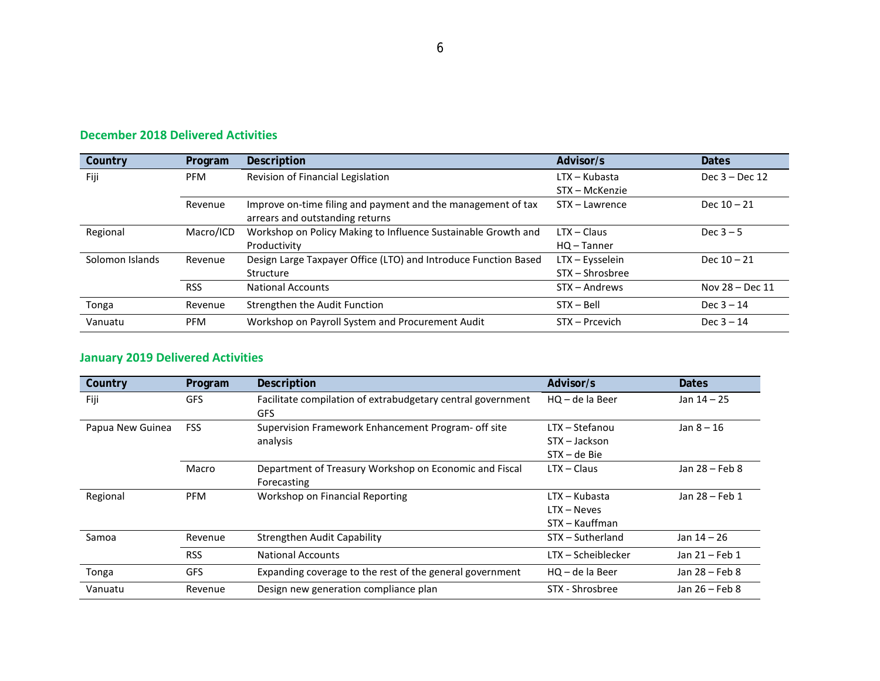| Country         | <b>Program</b> | Description                                                     | Advisor/s       | <b>Dates</b>      |
|-----------------|----------------|-----------------------------------------------------------------|-----------------|-------------------|
| Fiji            | <b>PFM</b>     | Revision of Financial Legislation                               | $LTX - Kubasta$ | Dec $3 -$ Dec 12  |
|                 |                |                                                                 | STX - McKenzie  |                   |
|                 | Revenue        | Improve on-time filing and payment and the management of tax    | STX - Lawrence  | Dec $10 - 21$     |
|                 |                | arrears and outstanding returns                                 |                 |                   |
| Regional        | Macro/ICD      | Workshop on Policy Making to Influence Sustainable Growth and   | $LTX - Claus$   | Dec $3-5$         |
|                 |                | Productivity                                                    | $HO$ – Tanner   |                   |
| Solomon Islands | Revenue        | Design Large Taxpayer Office (LTO) and Introduce Function Based | LTX - Eysselein | Dec $10 - 21$     |
|                 |                | Structure                                                       | STX – Shrosbree |                   |
|                 | <b>RSS</b>     | <b>National Accounts</b>                                        | STX - Andrews   | Nov $28 - Dec 11$ |
| Tonga           | Revenue        | Strengthen the Audit Function                                   | $STX - Bell$    | Dec $3 - 14$      |
| Vanuatu         | <b>PFM</b>     | Workshop on Payroll System and Procurement Audit                | STX - Prcevich  | Dec $3 - 14$      |

### **December 2018 Delivered Activities**

### **January 2019 Delivered Activities**

| Country          | Program    | Description                                                 | Advisor/s          | <b>Dates</b>   |
|------------------|------------|-------------------------------------------------------------|--------------------|----------------|
| Fiji             | <b>GFS</b> | Facilitate compilation of extrabudgetary central government | $HO - de$ la Beer  | Jan $14 - 25$  |
|                  |            | <b>GFS</b>                                                  |                    |                |
| Papua New Guinea | <b>FSS</b> | Supervision Framework Enhancement Program- off site         | LTX - Stefanou     | Jan $8 - 16$   |
|                  |            | analysis                                                    | STX - Jackson      |                |
|                  |            |                                                             | $STX - de Bie$     |                |
|                  | Macro      | Department of Treasury Workshop on Economic and Fiscal      | $LTX - Class$      | Jan 28 - Feb 8 |
|                  |            | Forecasting                                                 |                    |                |
| Regional         | <b>PFM</b> | Workshop on Financial Reporting                             | LTX – Kubasta      | Jan 28 - Feb 1 |
|                  |            |                                                             | $LTX - Neves$      |                |
|                  |            |                                                             | STX – Kauffman     |                |
| Samoa            | Revenue    | <b>Strengthen Audit Capability</b>                          | STX - Sutherland   | Jan 14 - 26    |
|                  | <b>RSS</b> | <b>National Accounts</b>                                    | LTX - Scheiblecker | Jan 21 - Feb 1 |
| Tonga            | <b>GFS</b> | Expanding coverage to the rest of the general government    | $HO - de$ la Beer  | Jan 28 - Feb 8 |
| Vanuatu          | Revenue    | Design new generation compliance plan                       | STX - Shrosbree    | Jan 26 - Feb 8 |